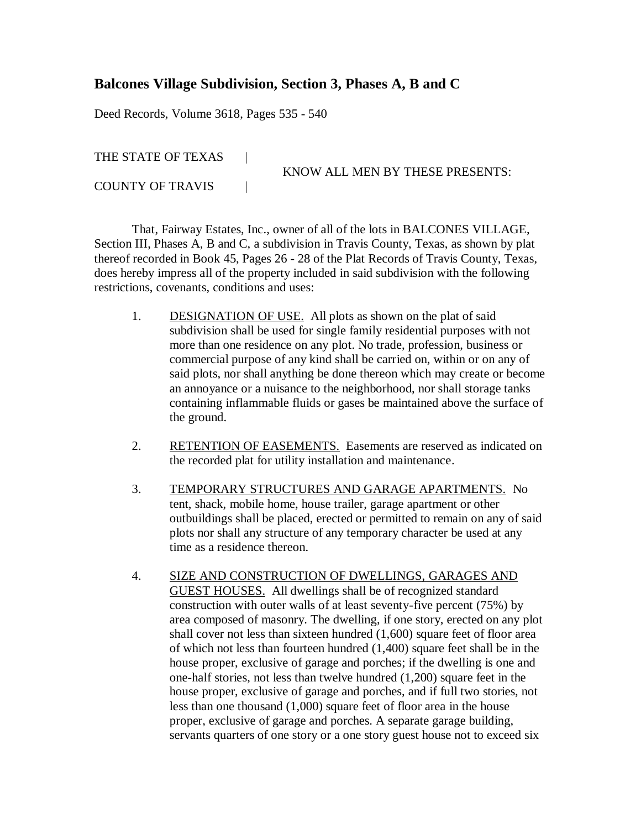## **Balcones Village Subdivision, Section 3, Phases A, B and C**

Deed Records, Volume 3618, Pages 535 - 540

THE STATE OF TEXAS |

COUNTY OF TRAVIS |

KNOW ALL MEN BY THESE PRESENTS:

That, Fairway Estates, Inc., owner of all of the lots in BALCONES VILLAGE, Section III, Phases A, B and C, a subdivision in Travis County, Texas, as shown by plat thereof recorded in Book 45, Pages 26 - 28 of the Plat Records of Travis County, Texas, does hereby impress all of the property included in said subdivision with the following restrictions, covenants, conditions and uses:

- 1. DESIGNATION OF USE. All plots as shown on the plat of said subdivision shall be used for single family residential purposes with not more than one residence on any plot. No trade, profession, business or commercial purpose of any kind shall be carried on, within or on any of said plots, nor shall anything be done thereon which may create or become an annoyance or a nuisance to the neighborhood, nor shall storage tanks containing inflammable fluids or gases be maintained above the surface of the ground.
- 2. RETENTION OF EASEMENTS. Easements are reserved as indicated on the recorded plat for utility installation and maintenance.
- 3. TEMPORARY STRUCTURES AND GARAGE APARTMENTS. No tent, shack, mobile home, house trailer, garage apartment or other outbuildings shall be placed, erected or permitted to remain on any of said plots nor shall any structure of any temporary character be used at any time as a residence thereon.
- 4. SIZE AND CONSTRUCTION OF DWELLINGS, GARAGES AND GUEST HOUSES. All dwellings shall be of recognized standard construction with outer walls of at least seventy-five percent (75%) by area composed of masonry. The dwelling, if one story, erected on any plot shall cover not less than sixteen hundred (1,600) square feet of floor area of which not less than fourteen hundred (1,400) square feet shall be in the house proper, exclusive of garage and porches; if the dwelling is one and one-half stories, not less than twelve hundred (1,200) square feet in the house proper, exclusive of garage and porches, and if full two stories, not less than one thousand (1,000) square feet of floor area in the house proper, exclusive of garage and porches. A separate garage building, servants quarters of one story or a one story guest house not to exceed six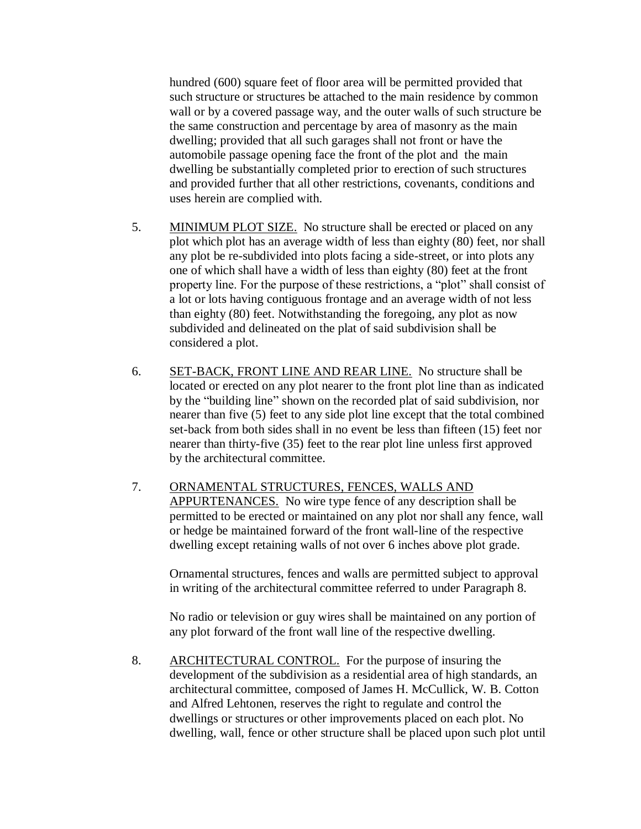hundred (600) square feet of floor area will be permitted provided that such structure or structures be attached to the main residence by common wall or by a covered passage way, and the outer walls of such structure be the same construction and percentage by area of masonry as the main dwelling; provided that all such garages shall not front or have the automobile passage opening face the front of the plot and the main dwelling be substantially completed prior to erection of such structures and provided further that all other restrictions, covenants, conditions and uses herein are complied with.

- 5. MINIMUM PLOT SIZE. No structure shall be erected or placed on any plot which plot has an average width of less than eighty (80) feet, nor shall any plot be re-subdivided into plots facing a side-street, or into plots any one of which shall have a width of less than eighty (80) feet at the front property line. For the purpose of these restrictions, a "plot" shall consist of a lot or lots having contiguous frontage and an average width of not less than eighty (80) feet. Notwithstanding the foregoing, any plot as now subdivided and delineated on the plat of said subdivision shall be considered a plot.
- 6. SET-BACK, FRONT LINE AND REAR LINE. No structure shall be located or erected on any plot nearer to the front plot line than as indicated by the "building line" shown on the recorded plat of said subdivision, nor nearer than five (5) feet to any side plot line except that the total combined set-back from both sides shall in no event be less than fifteen (15) feet nor nearer than thirty-five (35) feet to the rear plot line unless first approved by the architectural committee.
- 7. ORNAMENTAL STRUCTURES, FENCES, WALLS AND APPURTENANCES. No wire type fence of any description shall be permitted to be erected or maintained on any plot nor shall any fence, wall or hedge be maintained forward of the front wall-line of the respective dwelling except retaining walls of not over 6 inches above plot grade.

Ornamental structures, fences and walls are permitted subject to approval in writing of the architectural committee referred to under Paragraph 8.

No radio or television or guy wires shall be maintained on any portion of any plot forward of the front wall line of the respective dwelling.

8. ARCHITECTURAL CONTROL. For the purpose of insuring the development of the subdivision as a residential area of high standards, an architectural committee, composed of James H. McCullick, W. B. Cotton and Alfred Lehtonen, reserves the right to regulate and control the dwellings or structures or other improvements placed on each plot. No dwelling, wall, fence or other structure shall be placed upon such plot until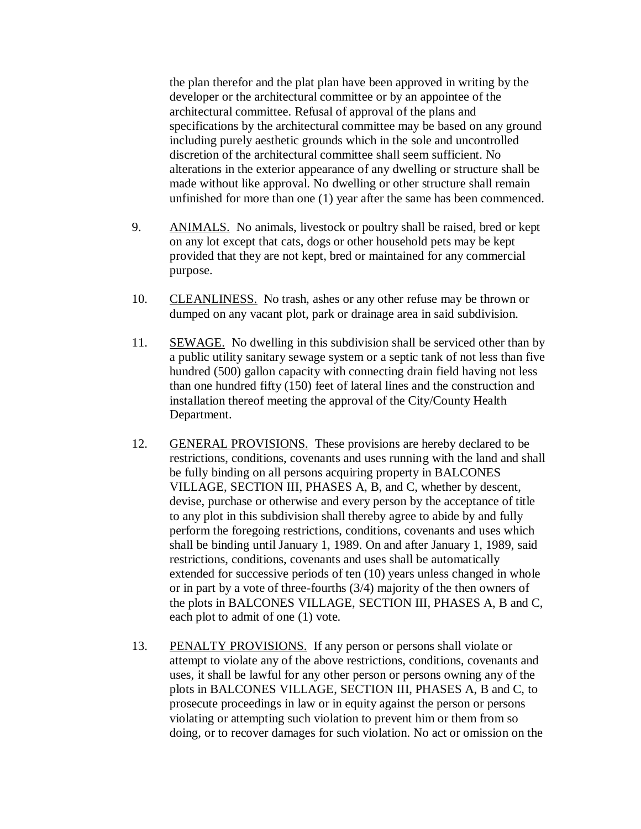the plan therefor and the plat plan have been approved in writing by the developer or the architectural committee or by an appointee of the architectural committee. Refusal of approval of the plans and specifications by the architectural committee may be based on any ground including purely aesthetic grounds which in the sole and uncontrolled discretion of the architectural committee shall seem sufficient. No alterations in the exterior appearance of any dwelling or structure shall be made without like approval. No dwelling or other structure shall remain unfinished for more than one (1) year after the same has been commenced.

- 9. ANIMALS. No animals, livestock or poultry shall be raised, bred or kept on any lot except that cats, dogs or other household pets may be kept provided that they are not kept, bred or maintained for any commercial purpose.
- 10. CLEANLINESS. No trash, ashes or any other refuse may be thrown or dumped on any vacant plot, park or drainage area in said subdivision.
- 11. SEWAGE. No dwelling in this subdivision shall be serviced other than by a public utility sanitary sewage system or a septic tank of not less than five hundred (500) gallon capacity with connecting drain field having not less than one hundred fifty (150) feet of lateral lines and the construction and installation thereof meeting the approval of the City/County Health Department.
- 12. GENERAL PROVISIONS. These provisions are hereby declared to be restrictions, conditions, covenants and uses running with the land and shall be fully binding on all persons acquiring property in BALCONES VILLAGE, SECTION III, PHASES A, B, and C, whether by descent, devise, purchase or otherwise and every person by the acceptance of title to any plot in this subdivision shall thereby agree to abide by and fully perform the foregoing restrictions, conditions, covenants and uses which shall be binding until January 1, 1989. On and after January 1, 1989, said restrictions, conditions, covenants and uses shall be automatically extended for successive periods of ten (10) years unless changed in whole or in part by a vote of three-fourths (3/4) majority of the then owners of the plots in BALCONES VILLAGE, SECTION III, PHASES A, B and C, each plot to admit of one (1) vote.
- 13. PENALTY PROVISIONS. If any person or persons shall violate or attempt to violate any of the above restrictions, conditions, covenants and uses, it shall be lawful for any other person or persons owning any of the plots in BALCONES VILLAGE, SECTION III, PHASES A, B and C, to prosecute proceedings in law or in equity against the person or persons violating or attempting such violation to prevent him or them from so doing, or to recover damages for such violation. No act or omission on the